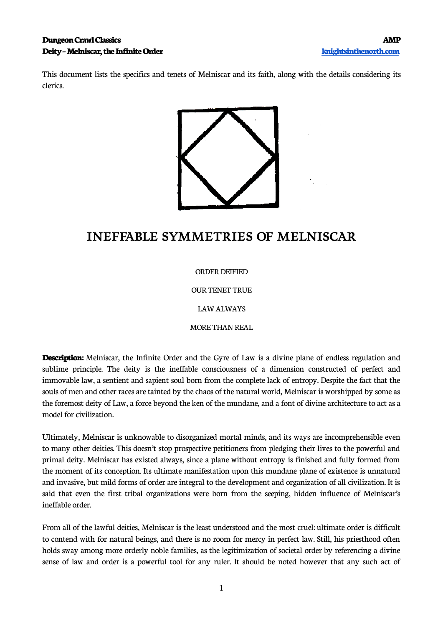This document lists the specifics and tenets of Melniscar and its faith, along with the details considering its clerics.



# **INEFFABLE SYMMETRIES OF MELNISCAR**

ORDER DEIFIED

OUR TENET TRUE

LAW ALWAYS

MORE THAN REAL

**Description:** Melniscar, the Infinite Order and the Gyre of Law is a divine plane of endless regulation and sublime principle. The deity is the ineffable consciousness of a dimension constructed of perfect and immovable law, a sentient and sapient soul born from the complete lack of entropy. Despite the fact that the souls of men and other races are tainted by the chaos of the natural world, Melniscar is worshipped by some as the foremost deity of Law, a force beyond the ken of the mundane, and a font of divine architecture to act as a model for civilization.

Ultimately, Melniscar is unknowable to disorganized mortal minds, and its ways are incomprehensible even to many other deities. This doesn't stop prospective petitioners from pledging their lives to the powerful and primal deity. Melniscar has existed always, since a plane without entropy is finished and fully formed from the moment of its conception. Its ultimate manifestation upon this mundane plane of existence is unnatural and invasive, but mild forms of order are integral to the development and organization of all civilization. It is said that even the first tribal organizations were born from the seeping, hidden influence of Melniscar's ineffable order.

From all of the lawful deities, Melniscar is the least understood and the most cruel: ultimate order is difficult to contend with for natural beings, and there is no room for mercy in perfect law. Still, his priesthood often holds sway among more orderly noble families, as the legitimization of societal order by referencing a divine sense of law and order is a powerful tool for any ruler. It should be noted however that any such act of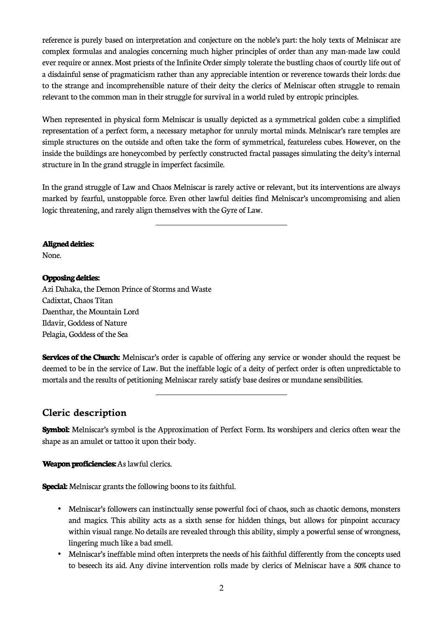reference is purely based on interpretation and conjecture on the noble's part: the holy texts of Melniscar are complex formulas and analogies concerning much higher principles of order than any man-made law could ever require or annex. Most priests of the Infinite Order simply tolerate the bustling chaos of courtly life out of a disdainful sense of pragmaticism rather than any appreciable intention or reverence towards their lords: due to the strange and incomprehensible nature of their deity the clerics of Melniscar often struggle to remain relevant to the common man in their struggle for survival in a world ruled by entropic principles.

When represented in physical form Melniscar is usually depicted as a symmetrical golden cube: a simplified representation of a perfect form, a necessary metaphor for unruly mortal minds. Melniscar's rare temples are simple structures on the outside and often take the form of symmetrical, featureless cubes. However, on the inside the buildings are honeycombed by perfectly constructed fractal passages simulating the deity's internal structure in In the grand struggle in imperfect facsimile.

In the grand struggle of Law and Chaos Melniscar is rarely active or relevant, but its interventions are always marked by fearful, unstoppable force. Even other lawful deities find Melniscar's uncompromising and alien logic threatening, and rarely align themselves with the Gyre of Law.

### **Aligned deities:**

None.

## **Opposing deities:**

Azi Dahaka, the Demon Prince of Storms and Waste Cadixtat, Chaos Titan Daenthar, the Mountain Lord Ildavir, Goddess of Nature Pelagia, Goddess of the Sea

 $\overline{a}$ 

 $\overline{a}$ 

**Services of the Church:** Melniscar's order is capable of offering any service or wonder should the request be deemed to be in the service of Law. But the ineffable logic of a deity of perfect order is often unpredictable to mortals and the results of petitioning Melniscar rarely satisfy base desires or mundane sensibilities.

# **Cleric description**

**Symbol:** Melniscar's symbol is the Approximation of Perfect Form. Its worshipers and clerics often wear the shape as an amulet or tattoo it upon their body.

### **Weapon proficiencies:** As lawful clerics.

**Special:** Melniscar grants the following boons to its faithful.

- Melniscar's followers can instinctually sense powerful foci of chaos, such as chaotic demons, monsters and magics. This ability acts as a sixth sense for hidden things, but allows for pinpoint accuracy within visual range. No details are revealed through this ability, simply a powerful sense of wrongness, lingering much like a bad smell.
- Melniscar's ineffable mind often interprets the needs of his faithful differently from the concepts used to beseech its aid. Any divine intervention rolls made by clerics of Melniscar have a 50% chance to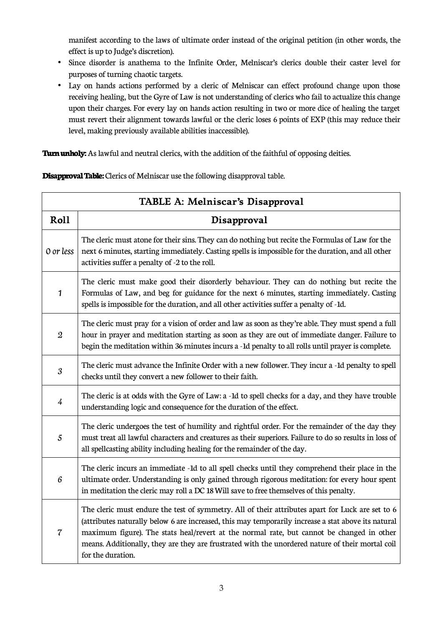manifest according to the laws of ultimate order instead of the original petition (in other words, the effect is up to Judge's discretion).

- Since disorder is anathema to the Infinite Order, Melniscar's clerics double their caster level for purposes of turning chaotic targets.
- Lay on hands actions performed by a cleric of Melniscar can effect profound change upon those receiving healing, but the Gyre of Law is not understanding of clerics who fail to actualize this change upon their charges. For every lay on hands action resulting in two or more dice of healing the target must revert their alignment towards lawful or the cleric loses 6 points of EXP (this may reduce their level, making previously available abilities inaccessible).

**Turn unholy:** As lawful and neutral clerics, with the addition of the faithful of opposing deities.

**Disapproval Table:** Clerics of Melniscar use the following disapproval table.

| TABLE A: Melniscar's Disapproval |                                                                                                                                                                                                                                                                                                                                                                                                                               |  |
|----------------------------------|-------------------------------------------------------------------------------------------------------------------------------------------------------------------------------------------------------------------------------------------------------------------------------------------------------------------------------------------------------------------------------------------------------------------------------|--|
| Roll                             | Disapproval                                                                                                                                                                                                                                                                                                                                                                                                                   |  |
| 0 or less                        | The cleric must atone for their sins. They can do nothing but recite the Formulas of Law for the<br>next 6 minutes, starting immediately. Casting spells is impossible for the duration, and all other<br>activities suffer a penalty of -2 to the roll.                                                                                                                                                                      |  |
| 1                                | The cleric must make good their disorderly behaviour. They can do nothing but recite the<br>Formulas of Law, and beg for guidance for the next 6 minutes, starting immediately. Casting<br>spells is impossible for the duration, and all other activities suffer a penalty of -1d.                                                                                                                                           |  |
| $\boldsymbol{2}$                 | The cleric must pray for a vision of order and law as soon as they're able. They must spend a full<br>hour in prayer and meditation starting as soon as they are out of immediate danger. Failure to<br>begin the meditation within 36 minutes incurs a -1d penalty to all rolls until prayer is complete.                                                                                                                    |  |
| $\mathfrak{z}$                   | The cleric must advance the Infinite Order with a new follower. They incur a -1d penalty to spell<br>checks until they convert a new follower to their faith.                                                                                                                                                                                                                                                                 |  |
| $\overline{4}$                   | The cleric is at odds with the Gyre of Law: a -1d to spell checks for a day, and they have trouble<br>understanding logic and consequence for the duration of the effect.                                                                                                                                                                                                                                                     |  |
| 5                                | The cleric undergoes the test of humility and rightful order. For the remainder of the day they<br>must treat all lawful characters and creatures as their superiors. Failure to do so results in loss of<br>all spellcasting ability including healing for the remainder of the day.                                                                                                                                         |  |
| 6                                | The cleric incurs an immediate -1d to all spell checks until they comprehend their place in the<br>ultimate order. Understanding is only gained through rigorous meditation: for every hour spent<br>in meditation the cleric may roll a DC 18 Will save to free themselves of this penalty.                                                                                                                                  |  |
| $\overline{\mathcal{C}}$         | The cleric must endure the test of symmetry. All of their attributes apart for Luck are set to 6<br>(attributes naturally below 6 are increased, this may temporarily increase a stat above its natural<br>maximum figure). The stats heal/revert at the normal rate, but cannot be changed in other<br>means. Additionally, they are they are frustrated with the unordered nature of their mortal coil<br>for the duration. |  |